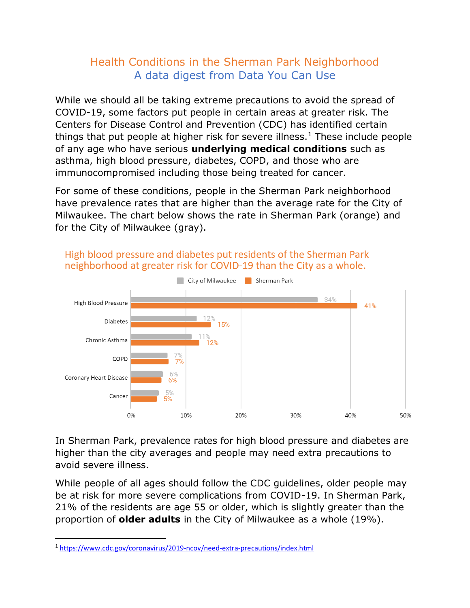## Health Conditions in the Sherman Park Neighborhood A data digest from Data You Can Use

While we should all be taking extreme precautions to avoid the spread of COVID-19, some factors put people in certain areas at greater risk. The Centers for Disease Control and Prevention (CDC) has identified certain things that put people at higher risk for severe illness.<sup>1</sup> These include people of any age who have serious **underlying medical conditions** such as asthma, high blood pressure, diabetes, COPD, and those who are immunocompromised including those being treated for cancer.

For some of these conditions, people in the Sherman Park neighborhood have prevalence rates that are higher than the average rate for the City of Milwaukee. The chart below shows the rate in Sherman Park (orange) and for the City of Milwaukee (gray).



## High blood pressure and diabetes put residents of the Sherman Park neighborhood at greater risk for COVID-19 than the City as a whole.

In Sherman Park, prevalence rates for high blood pressure and diabetes are higher than the city averages and people may need extra precautions to avoid severe illness.

While people of all ages should follow the CDC guidelines, older people may be at risk for more severe complications from COVID-19. In Sherman Park, 21% of the residents are age 55 or older, which is slightly greater than the proportion of **older adults** in the City of Milwaukee as a whole (19%).

<sup>1</sup> <https://www.cdc.gov/coronavirus/2019-ncov/need-extra-precautions/index.html>